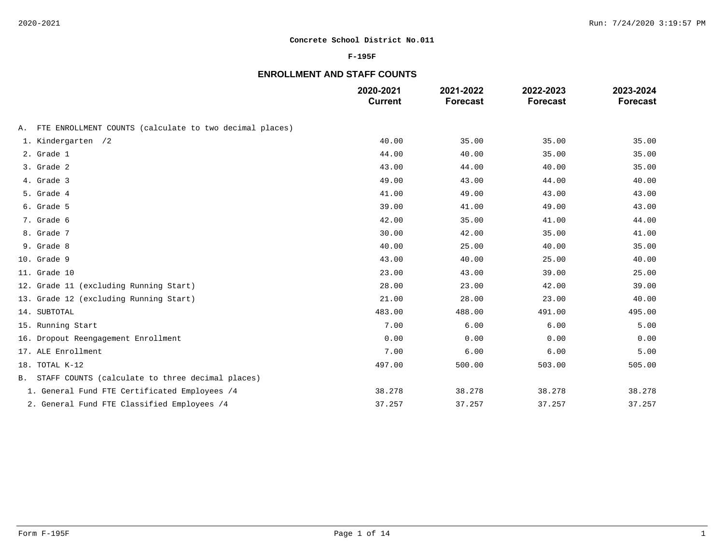### **F-195F**

# **ENROLLMENT AND STAFF COUNTS**

|                                                            | 2020-2021<br><b>Current</b> | 2021-2022<br><b>Forecast</b> | 2022-2023<br><b>Forecast</b> | 2023-2024<br><b>Forecast</b> |
|------------------------------------------------------------|-----------------------------|------------------------------|------------------------------|------------------------------|
| A. FTE ENROLLMENT COUNTS (calculate to two decimal places) |                             |                              |                              |                              |
| 1. Kindergarten /2                                         | 40.00                       | 35.00                        | 35.00                        | 35.00                        |
| 2. Grade 1                                                 | 44.00                       | 40.00                        | 35.00                        | 35.00                        |
| 3. Grade 2                                                 | 43.00                       | 44.00                        | 40.00                        | 35.00                        |
| 4. Grade 3                                                 | 49.00                       | 43.00                        | 44.00                        | 40.00                        |
| 5. Grade 4                                                 | 41.00                       | 49.00                        | 43.00                        | 43.00                        |
| 6. Grade 5                                                 | 39.00                       | 41.00                        | 49.00                        | 43.00                        |
| 7. Grade 6                                                 | 42.00                       | 35.00                        | 41.00                        | 44.00                        |
| 8. Grade 7                                                 | 30.00                       | 42.00                        | 35.00                        | 41.00                        |
| 9. Grade 8                                                 | 40.00                       | 25.00                        | 40.00                        | 35.00                        |
| 10. Grade 9                                                | 43.00                       | 40.00                        | 25.00                        | 40.00                        |
| 11. Grade 10                                               | 23.00                       | 43.00                        | 39.00                        | 25.00                        |
| 12. Grade 11 (excluding Running Start)                     | 28.00                       | 23.00                        | 42.00                        | 39.00                        |
| 13. Grade 12 (excluding Running Start)                     | 21.00                       | 28.00                        | 23.00                        | 40.00                        |
| 14. SUBTOTAL                                               | 483.00                      | 488.00                       | 491.00                       | 495.00                       |
| 15. Running Start                                          | 7.00                        | 6.00                         | 6.00                         | 5.00                         |
| 16. Dropout Reengagement Enrollment                        | 0.00                        | 0.00                         | 0.00                         | 0.00                         |
| 17. ALE Enrollment                                         | 7.00                        | 6.00                         | 6.00                         | 5.00                         |
| 18. TOTAL K-12                                             | 497.00                      | 500.00                       | 503.00                       | 505.00                       |
| B. STAFF COUNTS (calculate to three decimal places)        |                             |                              |                              |                              |
| 1. General Fund FTE Certificated Employees /4              | 38.278                      | 38.278                       | 38.278                       | 38.278                       |
| 2. General Fund FTE Classified Employees /4                | 37.257                      | 37.257                       | 37.257                       | 37.257                       |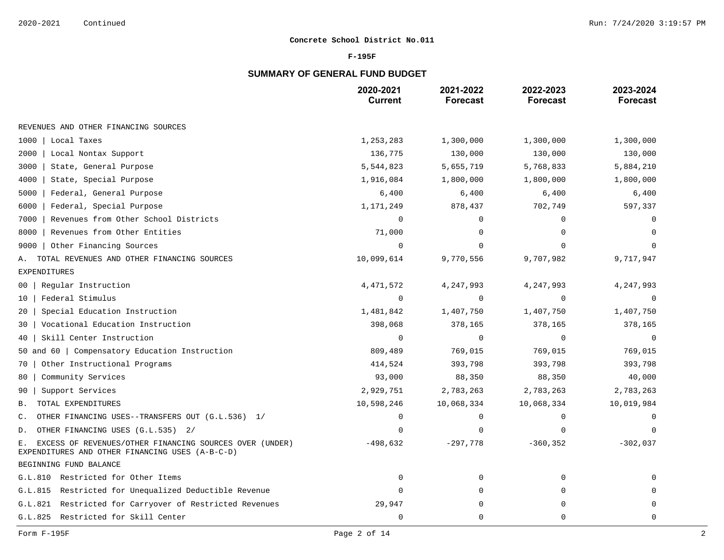### **F-195F**

# **SUMMARY OF GENERAL FUND BUDGET**

|                                                                                                                  | 2020-2021<br><b>Current</b> | 2021-2022<br><b>Forecast</b> | 2022-2023<br><b>Forecast</b> | 2023-2024<br><b>Forecast</b> |
|------------------------------------------------------------------------------------------------------------------|-----------------------------|------------------------------|------------------------------|------------------------------|
| REVENUES AND OTHER FINANCING SOURCES                                                                             |                             |                              |                              |                              |
| 1000<br>Local Taxes                                                                                              | 1,253,283                   | 1,300,000                    | 1,300,000                    | 1,300,000                    |
| 2000<br>Local Nontax Support                                                                                     | 136,775                     | 130,000                      | 130,000                      | 130,000                      |
| 3000<br>State, General Purpose                                                                                   | 5,544,823                   | 5,655,719                    | 5,768,833                    | 5,884,210                    |
| 4000<br>State, Special Purpose                                                                                   | 1,916,084                   | 1,800,000                    | 1,800,000                    | 1,800,000                    |
| 5000<br>Federal, General Purpose                                                                                 | 6,400                       | 6,400                        | 6,400                        | 6,400                        |
| 6000<br>Federal, Special Purpose                                                                                 | 1,171,249                   | 878,437                      | 702,749                      | 597,337                      |
| 7000<br>Revenues from Other School Districts                                                                     | $\mathbf 0$                 | $\Omega$                     | 0                            | $\Omega$                     |
| 8000<br>Revenues from Other Entities                                                                             | 71,000                      | 0                            | $\Omega$                     | $\Omega$                     |
| 9000<br>Other Financing Sources                                                                                  | $\Omega$                    | O                            |                              |                              |
| TOTAL REVENUES AND OTHER FINANCING SOURCES<br>Α.                                                                 | 10,099,614                  | 9,770,556                    | 9,707,982                    | 9,717,947                    |
| <b>EXPENDITURES</b>                                                                                              |                             |                              |                              |                              |
| Regular Instruction<br>00                                                                                        | 4,471,572                   | 4,247,993                    | 4,247,993                    | 4,247,993                    |
| Federal Stimulus<br>10                                                                                           | $\mathbf 0$                 | 0                            | 0                            | $\Omega$                     |
| Special Education Instruction<br>20                                                                              | 1,481,842                   | 1,407,750                    | 1,407,750                    | 1,407,750                    |
| Vocational Education Instruction<br>30                                                                           | 398,068                     | 378,165                      | 378,165                      | 378,165                      |
| Skill Center Instruction<br>40                                                                                   | $\mathbf 0$                 | $\Omega$                     | $\mathbf 0$                  | $\Omega$                     |
| 50 and 60   Compensatory Education Instruction                                                                   | 809,489                     | 769,015                      | 769,015                      | 769,015                      |
| Other Instructional Programs<br>70                                                                               | 414,524                     | 393,798                      | 393,798                      | 393,798                      |
| Community Services<br>80                                                                                         | 93,000                      | 88,350                       | 88,350                       | 40,000                       |
| Support Services<br>90                                                                                           | 2,929,751                   | 2,783,263                    | 2,783,263                    | 2,783,263                    |
| TOTAL EXPENDITURES<br>В.                                                                                         | 10,598,246                  | 10,068,334                   | 10,068,334                   | 10,019,984                   |
| OTHER FINANCING USES--TRANSFERS OUT (G.L.536) 1/<br>$\mathsf{C}$ .                                               | $\mathbf 0$                 | 0                            | 0                            | $\Omega$                     |
| OTHER FINANCING USES (G.L.535) 2/<br>D.                                                                          | $\Omega$                    | 0                            | 0                            | $\Omega$                     |
| EXCESS OF REVENUES/OTHER FINANCING SOURCES OVER (UNDER)<br>Е.<br>EXPENDITURES AND OTHER FINANCING USES (A-B-C-D) | $-498,632$                  | $-297,778$                   | $-360, 352$                  | $-302,037$                   |
| BEGINNING FUND BALANCE                                                                                           |                             |                              |                              |                              |
| G.L.810 Restricted for Other Items                                                                               | $\mathbf 0$                 | $\Omega$                     | $\Omega$                     | $\Omega$                     |
| Restricted for Unequalized Deductible Revenue<br>G.L.815                                                         | $\mathbf 0$                 | 0                            | 0                            | $\Omega$                     |
| G.L.821 Restricted for Carryover of Restricted Revenues                                                          | 29,947                      | 0                            | 0                            | $\Omega$                     |
| G.L.825 Restricted for Skill Center                                                                              | $\mathbf 0$                 | 0                            | $\mathbf 0$                  | $\mathbf 0$                  |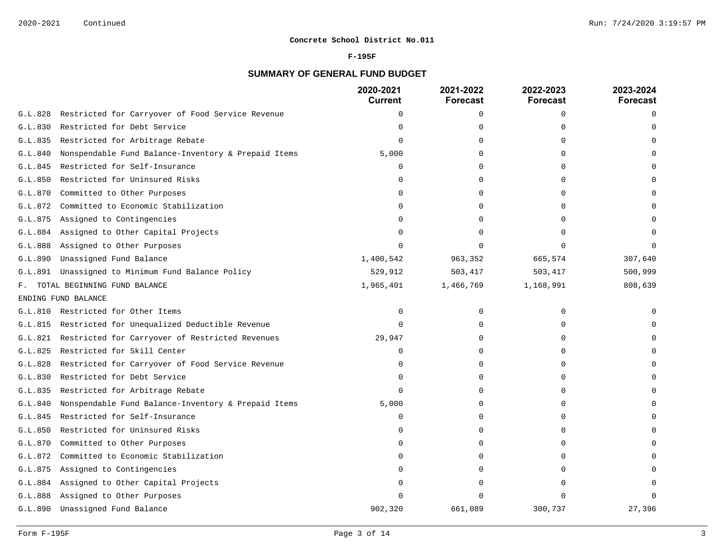### **F-195F**

# **SUMMARY OF GENERAL FUND BUDGET**

|         |                                                     | 2020-2021<br><b>Current</b> | 2021-2022<br>Forecast | 2022-2023<br><b>Forecast</b> | 2023-2024<br><b>Forecast</b> |
|---------|-----------------------------------------------------|-----------------------------|-----------------------|------------------------------|------------------------------|
| G.L.828 | Restricted for Carryover of Food Service Revenue    | $\mathbf 0$                 | 0                     | $\mathbf 0$                  | $\Omega$                     |
| G.L.830 | Restricted for Debt Service                         | $\Omega$                    | $\Omega$              | $\cap$                       |                              |
| G.L.835 | Restricted for Arbitrage Rebate                     | $\Omega$                    | 0                     | $\Omega$                     |                              |
| G.L.840 | Nonspendable Fund Balance-Inventory & Prepaid Items | 5,000                       | 0                     | $\Omega$                     |                              |
| G.L.845 | Restricted for Self-Insurance                       | 0                           | 0                     | 0                            |                              |
| G.L.850 | Restricted for Uninsured Risks                      | $\Omega$                    | $\Omega$              | $\Omega$                     |                              |
| G.L.870 | Committed to Other Purposes                         | $\Omega$                    | 0                     | $\Omega$                     |                              |
| G.L.872 | Committed to Economic Stabilization                 | 0                           | 0                     | O                            |                              |
| G.L.875 | Assigned to Contingencies                           | $\Omega$                    | 0                     | U                            |                              |
| G.L.884 | Assigned to Other Capital Projects                  | $\Omega$                    | 0                     | $\cap$                       |                              |
| G.L.888 | Assigned to Other Purposes                          | $\Omega$                    | 0                     | $\Omega$                     |                              |
| G.L.890 | Unassigned Fund Balance                             | 1,400,542                   | 963,352               | 665,574                      | 307,640                      |
| G.L.891 | Unassigned to Minimum Fund Balance Policy           | 529,912                     | 503, 417              | 503,417                      | 500,999                      |
| F.      | TOTAL BEGINNING FUND BALANCE                        | 1,965,401                   | 1,466,769             | 1,168,991                    | 808,639                      |
|         | ENDING FUND BALANCE                                 |                             |                       |                              |                              |
|         | G.L.810 Restricted for Other Items                  | 0                           | 0                     | $\Omega$                     |                              |
| G.L.815 | Restricted for Unequalized Deductible Revenue       | $\Omega$                    | $\mathbf 0$           | $\Omega$                     |                              |
| G.L.821 | Restricted for Carryover of Restricted Revenues     | 29,947                      | 0                     | $\mathbf 0$                  |                              |
| G.L.825 | Restricted for Skill Center                         | $\mathbf 0$                 | 0                     | $\cap$                       |                              |
| G.L.828 | Restricted for Carryover of Food Service Revenue    | $\Omega$                    | 0                     | U                            |                              |
| G.L.830 | Restricted for Debt Service                         | 0                           | 0                     | $\Omega$                     |                              |
| G.L.835 | Restricted for Arbitrage Rebate                     | $\mathbf 0$                 | 0                     | $\Omega$                     |                              |
| G.L.840 | Nonspendable Fund Balance-Inventory & Prepaid Items | 5,000                       | $\Omega$              | $\cap$                       |                              |
| G.L.845 | Restricted for Self-Insurance                       | $\mathbf 0$                 | 0                     | $\cap$                       |                              |
| G.L.850 | Restricted for Uninsured Risks                      | $\Omega$                    | 0                     | $\Omega$                     |                              |
| G.L.870 | Committed to Other Purposes                         | $\cap$                      | 0                     | U                            |                              |
| G.L.872 | Committed to Economic Stabilization                 | $\Omega$                    | 0                     | O                            |                              |
| G.L.875 | Assigned to Contingencies                           | $\Omega$                    | 0                     | O                            |                              |
| G.L.884 | Assigned to Other Capital Projects                  | $\Omega$                    | 0                     | O                            |                              |
| G.L.888 | Assigned to Other Purposes                          | $\cap$                      |                       | $\cap$                       |                              |
| G.L.890 | Unassigned Fund Balance                             | 902,320                     | 661,089               | 300,737                      | 27,396                       |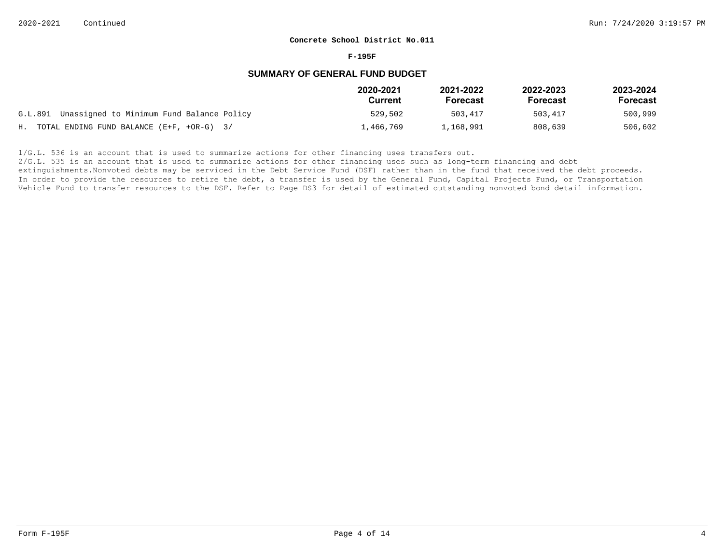#### **F-195F**

## **SUMMARY OF GENERAL FUND BUDGET**

|                                                   | 2020-2021<br>Current | 2021-2022<br><b>Forecast</b> | 2022-2023<br>Forecast | 2023-2024<br>Forecast |
|---------------------------------------------------|----------------------|------------------------------|-----------------------|-----------------------|
| G.L.891 Unassigned to Minimum Fund Balance Policy | 529,502              | 503,417                      | 503,417               | 500,999               |
| H. TOTAL ENDING FUND BALANCE $(E+F, +OR-G)$ 3/    | 1,466,769            | 1,168,991                    | 808,639               | 506,602               |

 $1/G.L.$  536 is an account that is used to summarize actions for other financing uses transfers out.

2/G.L. 535 is an account that is used to summarize actions for other financing uses such as long-term financing and debt

extinguishments. Nonvoted debts may be serviced in the Debt Service Fund (DSF) rather than in the fund that received the debt proceeds. In order to provide the resources to retire the debt, a transfer is used by the General Fund, Capital Projects Fund, or Transportation Vehicle Fund to transfer resources to the DSF. Refer to Page DS3 for detail of estimated outstanding nonvoted bond detail information.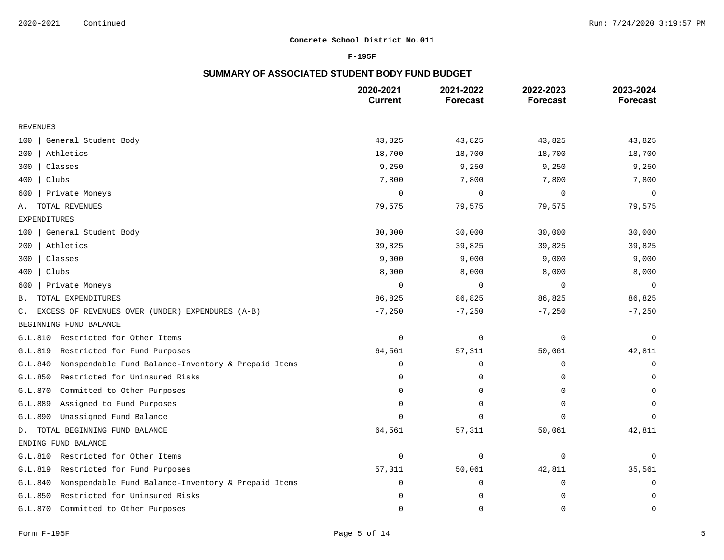### **F-195F**

## **SUMMARY OF ASSOCIATED STUDENT BODY FUND BUDGET**

|                                                                | 2020-2021<br><b>Current</b> | 2021-2022<br><b>Forecast</b> | 2022-2023<br><b>Forecast</b> | 2023-2024<br><b>Forecast</b> |
|----------------------------------------------------------------|-----------------------------|------------------------------|------------------------------|------------------------------|
| <b>REVENUES</b>                                                |                             |                              |                              |                              |
| General Student Body<br>100                                    | 43,825                      | 43,825                       | 43,825                       | 43,825                       |
| Athletics<br>200                                               | 18,700                      | 18,700                       | 18,700                       | 18,700                       |
| Classes<br>300                                                 | 9,250                       | 9,250                        | 9,250                        | 9,250                        |
| Clubs<br>400                                                   | 7,800                       | 7,800                        | 7,800                        | 7,800                        |
| Private Moneys<br>600                                          | $\mathbf 0$                 | $\mathbf 0$                  | $\mathbf 0$                  | $\mathbf 0$                  |
| TOTAL REVENUES<br>Α.                                           | 79,575                      | 79,575                       | 79,575                       | 79,575                       |
| <b>EXPENDITURES</b>                                            |                             |                              |                              |                              |
| General Student Body<br>100                                    | 30,000                      | 30,000                       | 30,000                       | 30,000                       |
| Athletics<br>200                                               | 39,825                      | 39,825                       | 39,825                       | 39,825                       |
| Classes<br>300                                                 | 9,000                       | 9,000                        | 9,000                        | 9,000                        |
| Clubs<br>400                                                   | 8,000                       | 8,000                        | 8,000                        | 8,000                        |
| Private Moneys<br>600                                          | $\mathbf 0$                 | $\mathbf 0$                  | $\mathbf 0$                  | $\mathbf 0$                  |
| TOTAL EXPENDITURES<br>Β.                                       | 86,825                      | 86,825                       | 86,825                       | 86,825                       |
| EXCESS OF REVENUES OVER (UNDER) EXPENDURES (A-B)<br>C.         | $-7,250$                    | $-7,250$                     | $-7,250$                     | $-7,250$                     |
| BEGINNING FUND BALANCE                                         |                             |                              |                              |                              |
| Restricted for Other Items<br>G.L.810                          | $\mathbf 0$                 | $\mathbf 0$                  | $\mathbf 0$                  | $\mathbf 0$                  |
| G.L.819<br>Restricted for Fund Purposes                        | 64,561                      | 57,311                       | 50,061                       | 42,811                       |
| G.L.840<br>Nonspendable Fund Balance-Inventory & Prepaid Items | $\mathbf 0$                 | $\mathbf 0$                  | $\mathbf 0$                  | $\mathbf 0$                  |
| Restricted for Uninsured Risks<br>G.L.850                      | $\Omega$                    | 0                            | $\Omega$                     | $\Omega$                     |
| Committed to Other Purposes<br>G.L.870                         | $\Omega$                    | 0                            | 0                            | $\mathbf 0$                  |
| G.L.889<br>Assigned to Fund Purposes                           | $\Omega$                    | $\Omega$                     | $\Omega$                     | $\Omega$                     |
| Unassigned Fund Balance<br>G.L.890                             | $\Omega$                    | $\Omega$                     | $\Omega$                     | $\Omega$                     |
| TOTAL BEGINNING FUND BALANCE<br>D.                             | 64,561                      | 57,311                       | 50,061                       | 42,811                       |
| ENDING FUND BALANCE                                            |                             |                              |                              |                              |
| Restricted for Other Items<br>G.L.810                          | $\mathbf 0$                 | $\mathbf 0$                  | $\mathbf 0$                  | $\mathbf 0$                  |
| G.L.819<br>Restricted for Fund Purposes                        | 57,311                      | 50,061                       | 42,811                       | 35,561                       |
| G.L.840<br>Nonspendable Fund Balance-Inventory & Prepaid Items | $\Omega$                    | 0                            | $\mathbf 0$                  | $\mathbf 0$                  |
| Restricted for Uninsured Risks<br>G.L.850                      | $\Omega$                    | $\mathbf 0$                  | $\Omega$                     | $\mathbf 0$                  |
| G.L.870<br>Committed to Other Purposes                         | $\Omega$                    | $\Omega$                     | $\mathbf 0$                  | $\mathbf 0$                  |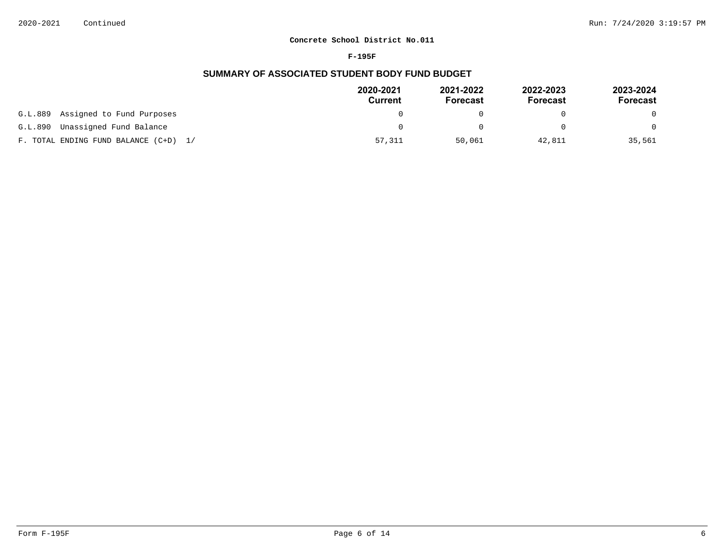#### **F-195F**

## **SUMMARY OF ASSOCIATED STUDENT BODY FUND BUDGET**

|                                       | 2020-2021<br>Current | 2021-2022<br><b>Forecast</b> | 2022-2023<br>Forecast | 2023-2024<br>Forecast |
|---------------------------------------|----------------------|------------------------------|-----------------------|-----------------------|
| Assigned to Fund Purposes<br>G.L.889  |                      |                              |                       | 0                     |
| Unassigned Fund Balance<br>G.L.890    |                      |                              |                       | $\Omega$              |
| F. TOTAL ENDING FUND BALANCE (C+D) 1/ | 57,311               | 50,061                       | 42,811                | 35,561                |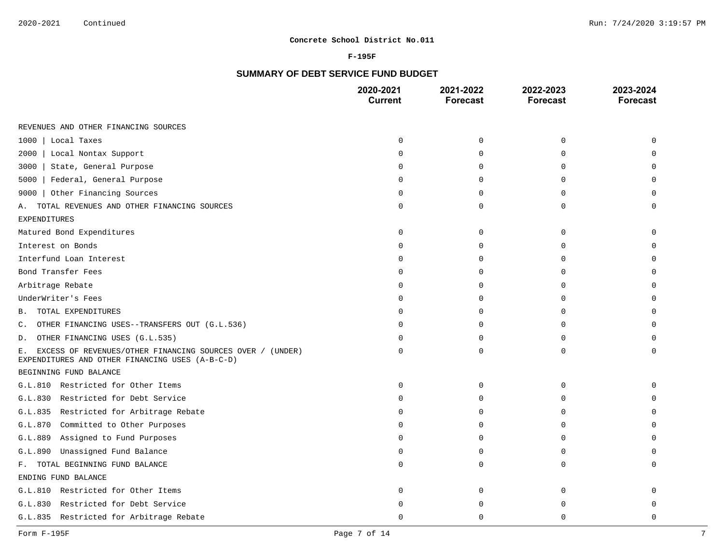### **F-195F**

# **SUMMARY OF DEBT SERVICE FUND BUDGET**

|                                                                                                                    | 2020-2021<br><b>Current</b> | 2021-2022<br><b>Forecast</b> | 2022-2023<br><b>Forecast</b> | 2023-2024<br><b>Forecast</b> |
|--------------------------------------------------------------------------------------------------------------------|-----------------------------|------------------------------|------------------------------|------------------------------|
| REVENUES AND OTHER FINANCING SOURCES                                                                               |                             |                              |                              |                              |
| 1000<br>Local Taxes                                                                                                | $\Omega$                    | $\Omega$                     | $\mathbf 0$                  | $\Omega$                     |
| 2000<br>  Local Nontax Support                                                                                     | 0                           | 0                            | 0                            | $\Omega$                     |
| State, General Purpose<br>3000                                                                                     | U                           | $\Omega$                     | 0                            | $\Omega$                     |
| Federal, General Purpose<br>5000                                                                                   | U                           | $\Omega$                     | 0                            | $\Omega$                     |
| Other Financing Sources<br>9000                                                                                    | 0                           | $\Omega$                     | $\Omega$                     | $\Omega$                     |
| TOTAL REVENUES AND OTHER FINANCING SOURCES<br>А.                                                                   | 0                           | 0                            | 0                            | $\Omega$                     |
| <b>EXPENDITURES</b>                                                                                                |                             |                              |                              |                              |
| Matured Bond Expenditures                                                                                          | $\Omega$                    | $\Omega$                     | 0                            | $\Omega$                     |
| Interest on Bonds                                                                                                  | 0                           | $\Omega$                     | 0                            | $\Omega$                     |
| Interfund Loan Interest                                                                                            |                             | $\Omega$                     | $\Omega$                     | $\Omega$                     |
| Bond Transfer Fees                                                                                                 | U                           | $\Omega$                     | 0                            | $\mathbf 0$                  |
| Arbitrage Rebate                                                                                                   | U                           | $\Omega$                     | $\Omega$                     | $\Omega$                     |
| UnderWriter's Fees                                                                                                 | 0                           | $\Omega$                     | 0                            | $\mathbf 0$                  |
| TOTAL EXPENDITURES<br>В.                                                                                           |                             | $\Omega$                     | 0                            | $\Omega$                     |
| OTHER FINANCING USES--TRANSFERS OUT (G.L.536)<br>C.                                                                | O.                          | $\Omega$                     | 0                            | $\Omega$                     |
| OTHER FINANCING USES (G.L.535)<br>D.                                                                               | U                           | $\Omega$                     | 0                            | $\Omega$                     |
| EXCESS OF REVENUES/OTHER FINANCING SOURCES OVER / (UNDER)<br>Е.<br>EXPENDITURES AND OTHER FINANCING USES (A-B-C-D) | $\Omega$                    | $\Omega$                     | $\Omega$                     | $\Omega$                     |
| BEGINNING FUND BALANCE                                                                                             |                             |                              |                              |                              |
| G.L.810 Restricted for Other Items                                                                                 | 0                           | 0                            | 0                            | $\Omega$                     |
| G.L.830 Restricted for Debt Service                                                                                | 0                           | 0                            | $\mathbf 0$                  | $\Omega$                     |
| G.L.835 Restricted for Arbitrage Rebate                                                                            | U                           | $\Omega$                     | $\Omega$                     | $\Omega$                     |
| G.L.870 Committed to Other Purposes                                                                                | O                           | $\Omega$                     | 0                            | $\mathbf 0$                  |
| Assigned to Fund Purposes<br>G.L.889                                                                               | U                           | $\Omega$                     | $\Omega$                     | $\Omega$                     |
| Unassigned Fund Balance<br>G.L.890                                                                                 | O                           | $\Omega$                     | 0                            | $\Omega$                     |
| F. TOTAL BEGINNING FUND BALANCE                                                                                    | U                           | $\Omega$                     | 0                            | $\Omega$                     |
| ENDING FUND BALANCE                                                                                                |                             |                              |                              |                              |
| G.L.810 Restricted for Other Items                                                                                 | 0                           | $\Omega$                     | 0                            | $\Omega$                     |
| Restricted for Debt Service<br>G.L.830                                                                             |                             | ∩                            | $\Omega$                     | $\Omega$                     |
| G.L.835 Restricted for Arbitrage Rebate                                                                            | U                           | $\Omega$                     | $\Omega$                     | $\Omega$                     |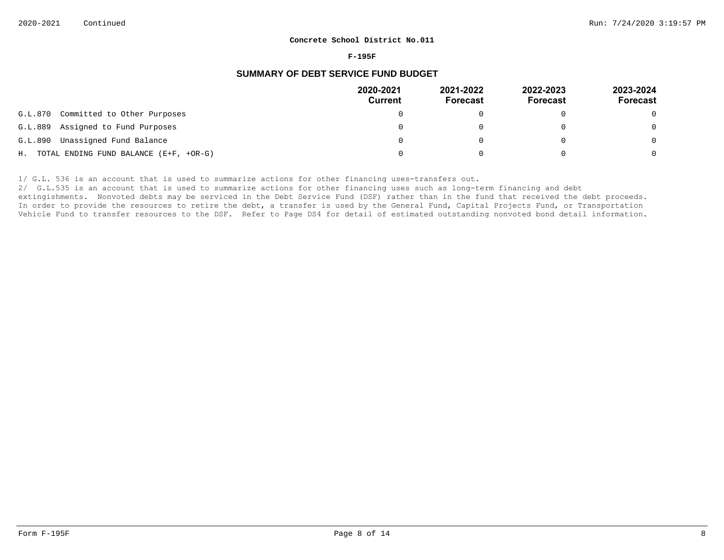#### **F-195F**

## **SUMMARY OF DEBT SERVICE FUND BUDGET**

|         |                                           | 2020-2021<br><b>Current</b> | 2021-2022<br><b>Forecast</b> | 2022-2023<br><b>Forecast</b> | 2023-2024<br>Forecast |
|---------|-------------------------------------------|-----------------------------|------------------------------|------------------------------|-----------------------|
| G.L.870 | Committed to Other Purposes               |                             |                              |                              | $\Omega$              |
| G.L.889 | Assigned to Fund Purposes                 |                             |                              |                              | $\overline{0}$        |
| G.L.890 | Unassigned Fund Balance                   |                             |                              |                              | $\Omega$              |
|         | H. TOTAL ENDING FUND BALANCE (E+F, +OR-G) |                             |                              |                              | $\Omega$              |

1/ G.L. 536 is an account that is used to summarize actions for other financing uses-transfers out.

2/ G.L.535 is an account that is used to summarize actions for other financing uses such as long-term financing and debt

extingishments. Nonvoted debts may be serviced in the Debt Service Fund (DSF) rather than in the fund that received the debt proceeds. In order to provide the resources to retire the debt, a transfer is used by the General Fund, Capital Projects Fund, or Transportation Vehicle Fund to transfer resources to the DSF. Refer to Page DS4 for detail of estimated outstanding nonvoted bond detail information.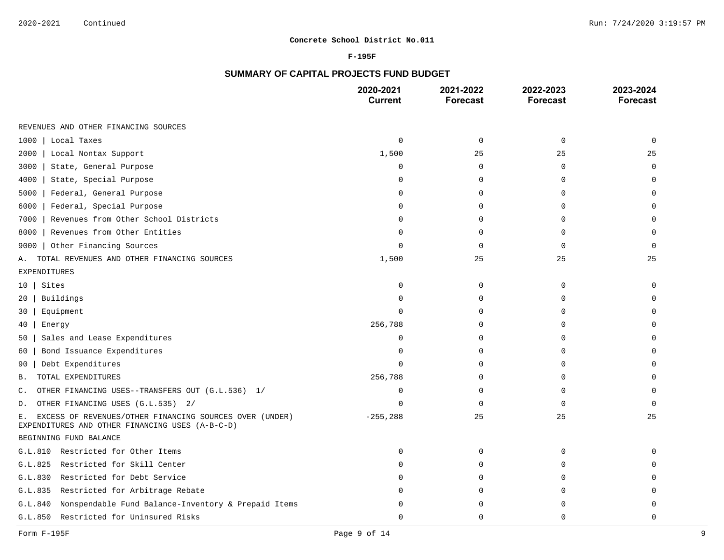### **F-195F**

# **SUMMARY OF CAPITAL PROJECTS FUND BUDGET**

|                                                                                                                  | 2020-2021<br><b>Current</b> | 2021-2022<br><b>Forecast</b> | 2022-2023<br><b>Forecast</b> | 2023-2024<br><b>Forecast</b> |
|------------------------------------------------------------------------------------------------------------------|-----------------------------|------------------------------|------------------------------|------------------------------|
| REVENUES AND OTHER FINANCING SOURCES                                                                             |                             |                              |                              |                              |
| Local Taxes<br>1000                                                                                              | $\mathbf 0$                 | $\mathbf 0$                  | $\mathbf 0$                  | $\mathbf 0$                  |
| 2000<br>Local Nontax Support                                                                                     | 1,500                       | 25                           | 25                           | 25                           |
| State, General Purpose<br>3000                                                                                   | $\mathbf 0$                 | $\mathbf 0$                  | $\mathbf{0}$                 | $\mathbf 0$                  |
| 4000<br>State, Special Purpose                                                                                   | $\Omega$                    | $\Omega$                     | $\Omega$                     | $\Omega$                     |
| 5000<br>Federal, General Purpose                                                                                 | $\mathbf 0$                 | $\mathbf 0$                  | $\Omega$                     | $\mathbf 0$                  |
| Federal, Special Purpose<br>6000                                                                                 | $\Omega$                    | $\Omega$                     | $\Omega$                     | $\Omega$                     |
| Revenues from Other School Districts<br>7000                                                                     | $\Omega$                    | $\mathbf 0$                  | $\mathbf{0}$                 | $\mathbf 0$                  |
| Revenues from Other Entities<br>8000                                                                             | $\Omega$                    | $\Omega$                     | $\Omega$                     | $\Omega$                     |
| Other Financing Sources<br>9000                                                                                  | $\Omega$                    | $\mathbf 0$                  | $\Omega$                     | $\Omega$                     |
| TOTAL REVENUES AND OTHER FINANCING SOURCES<br>Α.                                                                 | 1,500                       | 25                           | 25                           | 25                           |
| <b>EXPENDITURES</b>                                                                                              |                             |                              |                              |                              |
| Sites<br>10                                                                                                      | $\Omega$                    | 0                            | 0                            | $\Omega$                     |
| Buildings<br>20                                                                                                  | $\Omega$                    | $\mathbf 0$                  | $\mathbf 0$                  | $\Omega$                     |
| Equipment<br>30                                                                                                  | $\Omega$                    | $\mathbf 0$                  | $\mathbf 0$                  | 0                            |
| 40<br>Energy                                                                                                     | 256,788                     | $\Omega$                     | $\mathbf 0$                  | $\Omega$                     |
| Sales and Lease Expenditures<br>50                                                                               | $\Omega$                    | 0                            | $\mathbf 0$                  | $\mathbf 0$                  |
| Bond Issuance Expenditures<br>60                                                                                 | $\Omega$                    | $\Omega$                     | $\Omega$                     | $\Omega$                     |
| Debt Expenditures<br>90                                                                                          | $\Omega$                    | $\mathbf 0$                  | $\mathbf 0$                  | $\Omega$                     |
| TOTAL EXPENDITURES<br>В.                                                                                         | 256,788                     | $\mathbf 0$                  | $\mathbf 0$                  | $\Omega$                     |
| OTHER FINANCING USES--TRANSFERS OUT (G.L.536) 1/<br>С.                                                           | 0                           | $\mathbf 0$                  | $\mathbf 0$                  | $\mathbf 0$                  |
| OTHER FINANCING USES (G.L.535) 2/<br>D.                                                                          | $\Omega$                    | $\Omega$                     | $\Omega$                     | $\Omega$                     |
| EXCESS OF REVENUES/OTHER FINANCING SOURCES OVER (UNDER)<br>Ε.<br>EXPENDITURES AND OTHER FINANCING USES (A-B-C-D) | $-255, 288$                 | 25                           | 25                           | 25                           |
| BEGINNING FUND BALANCE                                                                                           |                             |                              |                              |                              |
| G.L.810 Restricted for Other Items                                                                               | $\mathbf 0$                 | $\mathbf{0}$                 | $\mathbf{0}$                 | $\mathbf 0$                  |
| G.L.825 Restricted for Skill Center                                                                              | $\Omega$                    | $\mathbf 0$                  | $\mathbf 0$                  | $\mathbf 0$                  |
| Restricted for Debt Service<br>G.L.830                                                                           | $\Omega$                    | $\mathbf 0$                  | $\mathbf{0}$                 | $\Omega$                     |
| Restricted for Arbitrage Rebate<br>G.L.835                                                                       | <sup>0</sup>                | $\Omega$                     | $\mathbf 0$                  | $\Omega$                     |
| Nonspendable Fund Balance-Inventory & Prepaid Items<br>G.L.840                                                   | $\cap$                      | $\Omega$                     | $\Omega$                     | $\Omega$                     |
| G.L.850 Restricted for Uninsured Risks                                                                           | $\Omega$                    | $\Omega$                     | $\Omega$                     | $\Omega$                     |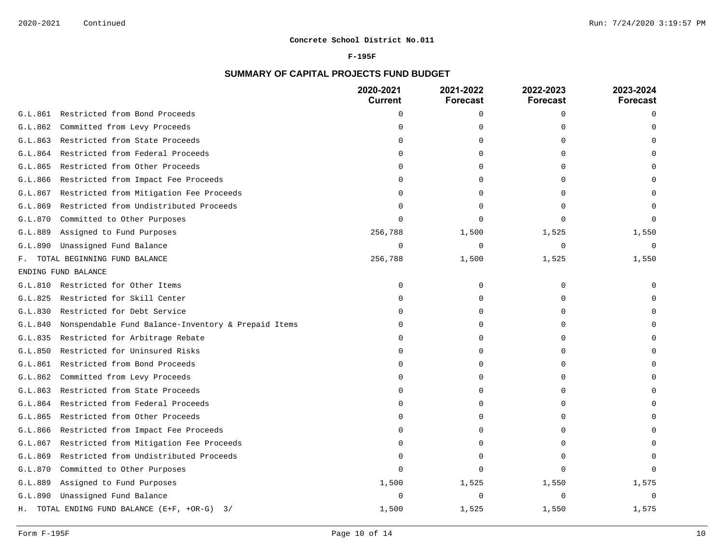#### **F-195F**

# **SUMMARY OF CAPITAL PROJECTS FUND BUDGET**

|         |                                                     | 2020-2021<br><b>Current</b> | 2021-2022<br><b>Forecast</b> | 2022-2023<br><b>Forecast</b> | 2023-2024<br><b>Forecast</b> |
|---------|-----------------------------------------------------|-----------------------------|------------------------------|------------------------------|------------------------------|
| G.L.861 | Restricted from Bond Proceeds                       | $\mathbf 0$                 | 0                            | 0                            | $\Omega$                     |
| G.L.862 | Committed from Levy Proceeds                        | $\Omega$                    | 0                            | $\cap$                       |                              |
| G.L.863 | Restricted from State Proceeds                      | n                           | 0                            | O                            |                              |
| G.L.864 | Restricted from Federal Proceeds                    | O                           | 0                            | $\Omega$                     |                              |
| G.L.865 | Restricted from Other Proceeds                      | O                           | 0                            | U                            |                              |
| G.L.866 | Restricted from Impact Fee Proceeds                 |                             | U                            | U                            |                              |
| G.L.867 | Restricted from Mitigation Fee Proceeds             |                             | U                            |                              |                              |
| G.L.869 | Restricted from Undistributed Proceeds              | n                           | 0                            | O                            |                              |
| G.L.870 | Committed to Other Purposes                         | $\cap$                      | U                            | $\cap$                       |                              |
| G.L.889 | Assigned to Fund Purposes                           | 256,788                     | 1,500                        | 1,525                        | 1,550                        |
| G.L.890 | Unassigned Fund Balance                             | $\mathbf 0$                 | $\mathbf 0$                  | $\mathbf 0$                  | $\mathbf 0$                  |
| F.,     | TOTAL BEGINNING FUND BALANCE                        | 256,788                     | 1,500                        | 1,525                        | 1,550                        |
|         | ENDING FUND BALANCE                                 |                             |                              |                              |                              |
| G.L.810 | Restricted for Other Items                          | $\mathbf 0$                 | 0                            | $\mathbf 0$                  |                              |
| G.L.825 | Restricted for Skill Center                         | $\Omega$                    | 0                            | $\mathbf 0$                  |                              |
| G.L.830 | Restricted for Debt Service                         | $\Omega$                    | $\Omega$                     | $\Omega$                     |                              |
| G.L.840 | Nonspendable Fund Balance-Inventory & Prepaid Items | $\Omega$                    | 0                            | $\cap$                       |                              |
| G.L.835 | Restricted for Arbitrage Rebate                     | $\Omega$                    | $\Omega$                     | $\Omega$                     |                              |
| G.L.850 | Restricted for Uninsured Risks                      | $\Omega$                    | 0                            | $\cap$                       |                              |
| G.L.861 | Restricted from Bond Proceeds                       | ∩                           | $\Omega$                     | O                            |                              |
| G.L.862 | Committed from Levy Proceeds                        | $\Omega$                    | 0                            | $\Omega$                     |                              |
| G.L.863 | Restricted from State Proceeds                      | $\Omega$                    | 0                            | $\Omega$                     |                              |
| G.L.864 | Restricted from Federal Proceeds                    | $\Omega$                    | $\Omega$                     | $\Omega$                     |                              |
| G.L.865 | Restricted from Other Proceeds                      | O                           | 0                            | U                            |                              |
| G.L.866 | Restricted from Impact Fee Proceeds                 | $\Omega$                    | 0                            | $\Omega$                     |                              |
| G.L.867 | Restricted from Mitigation Fee Proceeds             | $\Omega$                    | 0                            | $\Omega$                     |                              |
| G.L.869 | Restricted from Undistributed Proceeds              | $\Omega$                    | $\Omega$                     | $\Omega$                     |                              |
| G.L.870 | Committed to Other Purposes                         | $\Omega$                    | $\Omega$                     | $\Omega$                     |                              |
| G.L.889 | Assigned to Fund Purposes                           | 1,500                       | 1,525                        | 1,550                        | 1,575                        |
| G.L.890 | Unassigned Fund Balance                             | $\Omega$                    | U                            | $\Omega$                     |                              |
| Н.      | TOTAL ENDING FUND BALANCE (E+F, +OR-G) 3/           | 1,500                       | 1,525                        | 1,550                        | 1,575                        |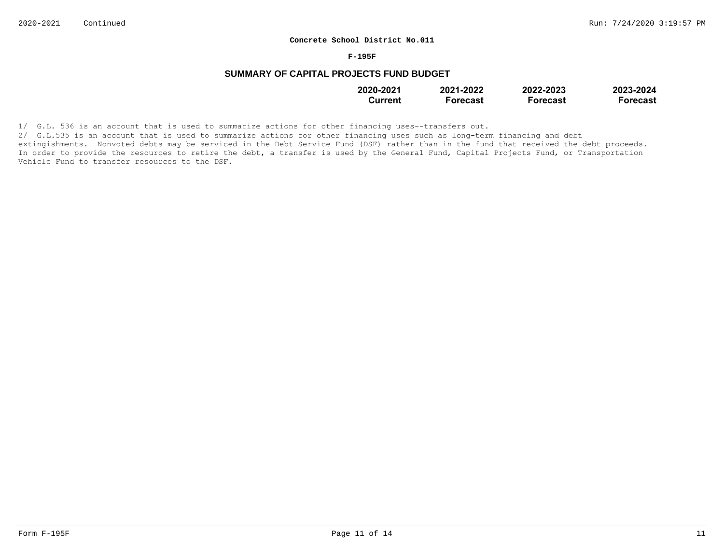#### **F-195F**

## **SUMMARY OF CAPITAL PROJECTS FUND BUDGET**

| 2020-2021 | 2021-2022 | 2022-2023       | 2023-2024 |
|-----------|-----------|-----------------|-----------|
| Current   | Forecast  | <b>Forecast</b> | Forecast  |

1/ G.L. 536 is an account that is used to summarize actions for other financing uses--transfers out.

2/ G.L.535 is an account that is used to summarize actions for other financing uses such as long-term financing and debt extingishments. Nonvoted debts may be serviced in the Debt Service Fund (DSF) rather than in the fund that received the debt proceeds. In order to provide the resources to retire the debt, a transfer is used by the General Fund, Capital Projects Fund, or Transportation Vehicle Fund to transfer resources to the DSF.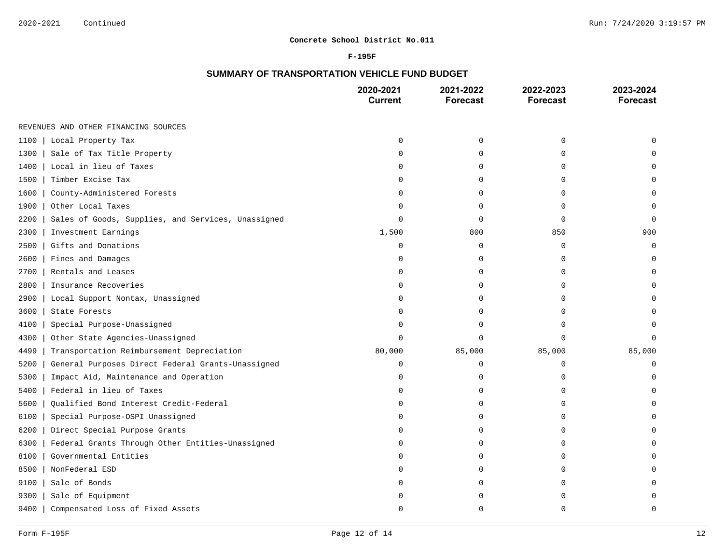### **F-195F**

# **SUMMARY OF TRANSPORTATION VEHICLE FUND BUDGET**

|                                                            | 2020-2021<br><b>Current</b> | 2021-2022<br><b>Forecast</b> | 2022-2023<br><b>Forecast</b> | 2023-2024<br><b>Forecast</b> |
|------------------------------------------------------------|-----------------------------|------------------------------|------------------------------|------------------------------|
| REVENUES AND OTHER FINANCING SOURCES                       |                             |                              |                              |                              |
| 1100<br>Local Property Tax                                 | $\mathbf 0$                 | 0                            | 0                            | U                            |
| 1300<br>Sale of Tax Title Property                         | $\Omega$                    | 0                            | 0                            |                              |
| Local in lieu of Taxes<br>1400                             | O                           | 0                            | $\Omega$                     | U                            |
| Timber Excise Tax<br>1500                                  | O                           | 0                            | U                            | U                            |
| 1600<br>County-Administered Forests                        | 0                           | 0                            | 0                            | $\Omega$                     |
| 1900<br>Other Local Taxes                                  | O                           | 0                            | 0                            | $\Omega$                     |
| 2200<br>Sales of Goods, Supplies, and Services, Unassigned | $\Omega$                    | 0                            | $\Omega$                     | $\Omega$                     |
| Investment Earnings<br>2300                                | 1,500                       | 800                          | 850                          | 900                          |
| 2500<br>Gifts and Donations                                | $\Omega$                    | 0                            | 0                            | $\Omega$                     |
| 2600<br>Fines and Damages                                  | $\Omega$                    | $\mathbf 0$                  | $\Omega$                     | $\Omega$                     |
| Rentals and Leases<br>2700                                 | 0                           | 0                            | $\Omega$                     | $\Omega$                     |
| Insurance Recoveries<br>2800                               | O                           | 0                            | $\Omega$                     |                              |
| Local Support Nontax, Unassigned<br>2900                   | O                           | 0                            | $\Omega$                     | U                            |
| 3600<br>State Forests                                      | O                           | 0                            | $\Omega$                     | U                            |
| Special Purpose-Unassigned<br>4100                         | O                           | 0                            | U                            |                              |
| 4300<br>Other State Agencies-Unassigned                    | $\Omega$                    | $\Omega$                     | $\Omega$                     | $\Omega$                     |
| 4499<br>Transportation Reimbursement Depreciation          | 80,000                      | 85,000                       | 85,000                       | 85,000                       |
| 5200<br>General Purposes Direct Federal Grants-Unassigned  | 0                           | 0                            | 0                            | $\mathbf{0}$                 |
| 5300<br>Impact Aid, Maintenance and Operation              | O                           | 0                            | 0                            | $\Omega$                     |
| 5400<br>Federal in lieu of Taxes                           | $\Omega$                    | 0                            | $\Omega$                     | $\cap$                       |
| 5600<br>Qualified Bond Interest Credit-Federal             | $\mathbf 0$                 | 0                            | $\Omega$                     | $\Omega$                     |
| 6100<br>Special Purpose-OSPI Unassigned                    | $\mathbf 0$                 | $\Omega$                     | $\Omega$                     | U                            |
| Direct Special Purpose Grants<br>6200                      | $\mathbf 0$                 | 0                            | $\Omega$                     | $\Omega$                     |
| Federal Grants Through Other Entities-Unassigned<br>6300   | 0                           | 0                            | 0                            | O                            |
| Governmental Entities<br>8100                              | n                           | 0                            | $\Omega$                     | U                            |
| 8500<br>NonFederal ESD                                     | O                           | 0                            | 0                            | $\Omega$                     |
| 9100<br>Sale of Bonds                                      | O                           | 0                            | 0                            | O                            |
| 9300<br>Sale of Equipment                                  | n                           | 0                            | U                            | O                            |
| 9400<br>Compensated Loss of Fixed Assets                   | $\cap$                      | U                            | $\Omega$                     | $\Omega$                     |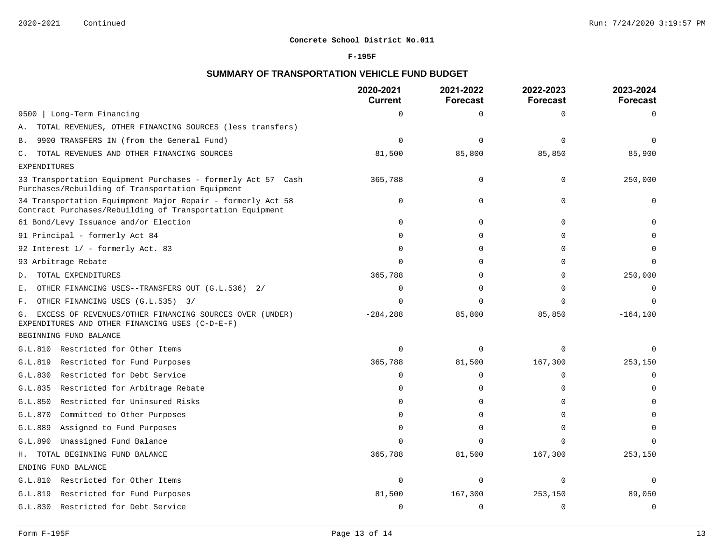### **F-195F**

## **SUMMARY OF TRANSPORTATION VEHICLE FUND BUDGET**

|                                                                                                                          | 2020-2021<br><b>Current</b> | 2021-2022<br><b>Forecast</b> | 2022-2023<br><b>Forecast</b> | 2023-2024<br><b>Forecast</b> |
|--------------------------------------------------------------------------------------------------------------------------|-----------------------------|------------------------------|------------------------------|------------------------------|
| Long-Term Financing<br>9500                                                                                              | $\Omega$                    | $\mathbf 0$                  | $\Omega$                     | $\Omega$                     |
| TOTAL REVENUES, OTHER FINANCING SOURCES (less transfers)<br>Α.                                                           |                             |                              |                              |                              |
| 9900 TRANSFERS IN (from the General Fund)<br>Β.                                                                          | $\Omega$                    | $\Omega$                     | $\Omega$                     | $\Omega$                     |
| TOTAL REVENUES AND OTHER FINANCING SOURCES<br>$\mathbb{C}$ .                                                             | 81,500                      | 85,800                       | 85,850                       | 85,900                       |
| <b>EXPENDITURES</b>                                                                                                      |                             |                              |                              |                              |
| 33 Transportation Equipment Purchases - formerly Act 57 Cash<br>Purchases/Rebuilding of Transportation Equipment         | 365,788                     | $\mathbf 0$                  | $\mathbf 0$                  | 250,000                      |
| 34 Transportation Equimpment Major Repair - formerly Act 58<br>Contract Purchases/Rebuilding of Transportation Equipment | $\Omega$                    | $\Omega$                     | $\Omega$                     |                              |
| 61 Bond/Levy Issuance and/or Election                                                                                    | 0                           | $\mathbf 0$                  | $\mathbf 0$                  |                              |
| 91 Principal - formerly Act 84                                                                                           | $\Omega$                    | $\Omega$                     | $\Omega$                     |                              |
| 92 Interest 1/ - formerly Act. 83                                                                                        | O                           | $\Omega$                     | $\Omega$                     |                              |
| 93 Arbitrage Rebate                                                                                                      | $\Omega$                    | ∩                            | $\Omega$                     | $\Omega$                     |
| TOTAL EXPENDITURES<br>D.                                                                                                 | 365,788                     | $\Omega$                     | $\Omega$                     | 250,000                      |
| OTHER FINANCING USES--TRANSFERS OUT (G.L.536) 2/<br>Ε.                                                                   | $\Omega$                    | ∩                            | $\Omega$                     | $\mathbf 0$                  |
| OTHER FINANCING USES (G.L.535) 3/<br>F.                                                                                  | $\Omega$                    |                              | $\Omega$                     | $\Omega$                     |
| EXCESS OF REVENUES/OTHER FINANCING SOURCES OVER (UNDER)<br>G.<br>EXPENDITURES AND OTHER FINANCING USES (C-D-E-F)         | $-284, 288$                 | 85,800                       | 85,850                       | $-164, 100$                  |
| BEGINNING FUND BALANCE                                                                                                   |                             |                              |                              |                              |
| G.L.810 Restricted for Other Items                                                                                       | $\Omega$                    | $\Omega$                     | $\Omega$                     |                              |
| G.L.819 Restricted for Fund Purposes                                                                                     | 365,788                     | 81,500                       | 167,300                      | 253,150                      |
| G.L.830 Restricted for Debt Service                                                                                      | $\Omega$                    | $\Omega$                     | $\Omega$                     | $\Omega$                     |
| G.L.835 Restricted for Arbitrage Rebate                                                                                  | $\mathbf 0$                 | $\Omega$                     | $\Omega$                     | $\Omega$                     |
| Restricted for Uninsured Risks<br>G.L.850                                                                                | $\Omega$                    | $\Omega$                     | $\Omega$                     | ∩                            |
| G.L.870 Committed to Other Purposes                                                                                      | $\mathbf 0$                 | $\Omega$                     | $\Omega$                     |                              |
| G.L.889 Assigned to Fund Purposes                                                                                        | $\Omega$                    | $\Omega$                     | $\Omega$                     | $\Omega$                     |
| G.L.890<br>Unassigned Fund Balance                                                                                       | $\Omega$                    | ∩                            | $\Omega$                     | $\Omega$                     |
| H. TOTAL BEGINNING FUND BALANCE                                                                                          | 365,788                     | 81,500                       | 167,300                      | 253,150                      |
| ENDING FUND BALANCE                                                                                                      |                             |                              |                              |                              |
| G.L.810 Restricted for Other Items                                                                                       | $\Omega$                    | $\mathbf 0$                  | $\Omega$                     | $\Omega$                     |
| G.L.819 Restricted for Fund Purposes                                                                                     | 81,500                      | 167,300                      | 253,150                      | 89,050                       |
| G.L.830 Restricted for Debt Service                                                                                      | $\Omega$                    | $\Omega$                     | $\Omega$                     | $\mathbf 0$                  |